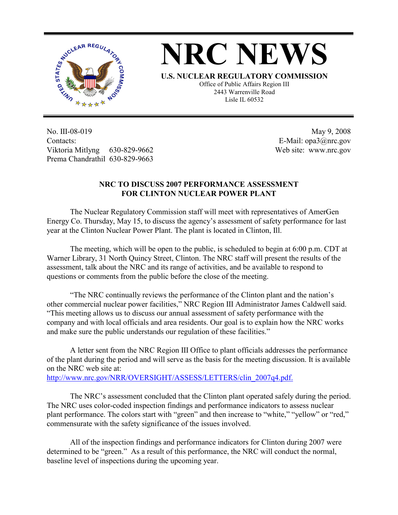



**U.S. NUCLEAR REGULATORY COMMISSION**

Office of Public Affairs Region III 2443 Warrenville Road Lisle IL 60532

No. III-08-019 Contacts: Viktoria Mitlyng 630-829-9662 Prema Chandrathil 630-829-9663

 May 9, 2008 E-Mail: opa3@nrc.gov Web site: www.nrc.gov

## **NRC TO DISCUSS 2007 PERFORMANCE ASSESSMENT FOR CLINTON NUCLEAR POWER PLANT**

 The Nuclear Regulatory Commission staff will meet with representatives of AmerGen Energy Co. Thursday, May 15, to discuss the agency's assessment of safety performance for last year at the Clinton Nuclear Power Plant. The plant is located in Clinton, Ill.

 The meeting, which will be open to the public, is scheduled to begin at 6:00 p.m. CDT at Warner Library, 31 North Quincy Street, Clinton. The NRC staff will present the results of the assessment, talk about the NRC and its range of activities, and be available to respond to questions or comments from the public before the close of the meeting.

 "The NRC continually reviews the performance of the Clinton plant and the nation's other commercial nuclear power facilities," NRC Region III Administrator James Caldwell said. "This meeting allows us to discuss our annual assessment of safety performance with the company and with local officials and area residents. Our goal is to explain how the NRC works and make sure the public understands our regulation of these facilities."

 A letter sent from the NRC Region III Office to plant officials addresses the performance of the plant during the period and will serve as the basis for the meeting discussion. It is available on the NRC web site at:

http://www.nrc.gov/NRR/OVERSIGHT/ASSESS/LETTERS/clin\_2007q4.pdf.

 The NRC's assessment concluded that the Clinton plant operated safely during the period. The NRC uses color-coded inspection findings and performance indicators to assess nuclear plant performance. The colors start with "green" and then increase to "white," "yellow" or "red," commensurate with the safety significance of the issues involved.

 All of the inspection findings and performance indicators for Clinton during 2007 were determined to be "green." As a result of this performance, the NRC will conduct the normal, baseline level of inspections during the upcoming year.